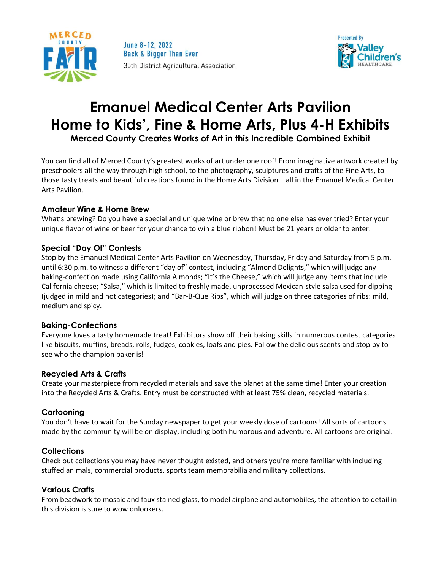

June 8-12, 2022 **Back & Bigger Than Ever** 35th District Agricultural Association



# **Emanuel Medical Center Arts Pavilion Home to Kids', Fine & Home Arts, Plus 4-H Exhibits Merced County Creates Works of Art in this Incredible Combined Exhibit**

You can find all of Merced County's greatest works of art under one roof! From imaginative artwork created by preschoolers all the way through high school, to the photography, sculptures and crafts of the Fine Arts, to those tasty treats and beautiful creations found in the Home Arts Division – all in the Emanuel Medical Center Arts Pavilion.

#### **Amateur Wine & Home Brew**

What's brewing? Do you have a special and unique wine or brew that no one else has ever tried? Enter your unique flavor of wine or beer for your chance to win a blue ribbon! Must be 21 years or older to enter.

### **Special "Day Of" Contests**

Stop by the Emanuel Medical Center Arts Pavilion on Wednesday, Thursday, Friday and Saturday from 5 p.m. until 6:30 p.m. to witness a different "day of" contest, including "Almond Delights," which will judge any baking-confection made using California Almonds; "It's the Cheese," which will judge any items that include California cheese; "Salsa," which is limited to freshly made, unprocessed Mexican-style salsa used for dipping (judged in mild and hot categories); and "Bar-B-Que Ribs", which will judge on three categories of ribs: mild, medium and spicy.

#### **Baking-Confections**

Everyone loves a tasty homemade treat! Exhibitors show off their baking skills in numerous contest categories like biscuits, muffins, breads, rolls, fudges, cookies, loafs and pies. Follow the delicious scents and stop by to see who the champion baker is!

# **Recycled Arts & Crafts**

Create your masterpiece from recycled materials and save the planet at the same time! Enter your creation into the Recycled Arts & Crafts. Entry must be constructed with at least 75% clean, recycled materials.

#### **Cartooning**

You don't have to wait for the Sunday newspaper to get your weekly dose of cartoons! All sorts of cartoons made by the community will be on display, including both humorous and adventure. All cartoons are original.

#### **Collections**

Check out collections you may have never thought existed, and others you're more familiar with including stuffed animals, commercial products, sports team memorabilia and military collections.

#### **Various Crafts**

From beadwork to mosaic and faux stained glass, to model airplane and automobiles, the attention to detail in this division is sure to wow onlookers.